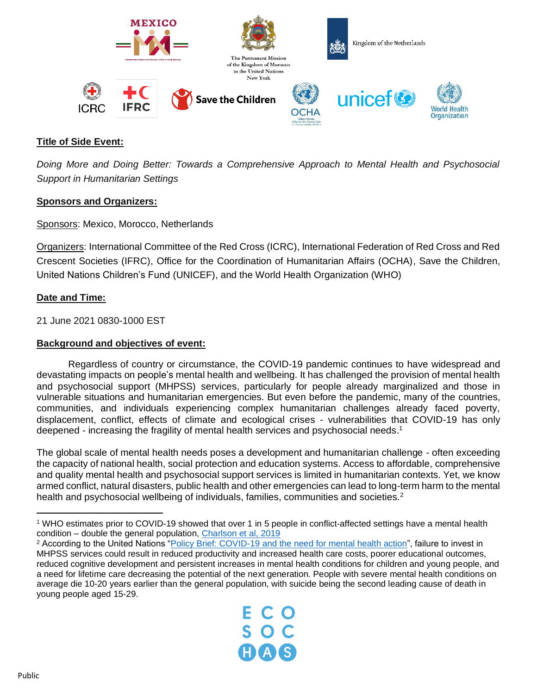

# **Title of Side Event:**

*Doing More and Doing Better: Towards a Comprehensive Approach to Mental Health and Psychosocial Support in Humanitarian Settings*

## **Sponsors and Organizers:**

Sponsors: Mexico, Morocco, Netherlands

Organizers: International Committee of the Red Cross (ICRC), International Federation of Red Cross and Red Crescent Societies (IFRC), Office for the Coordination of Humanitarian Affairs (OCHA), Save the Children, United Nations Children's Fund (UNICEF), and the World Health Organization (WHO)

## **Date and Time:**

21 June 2021 0830-1000 EST

## **Background and objectives of event:**

Regardless of country or circumstance, the COVID-19 pandemic continues to have widespread and devastating impacts on people's mental health and wellbeing. It has challenged the provision of mental health and psychosocial support (MHPSS) services, particularly for people already marginalized and those in vulnerable situations and humanitarian emergencies. But even before the pandemic, many of the countries, communities, and individuals experiencing complex humanitarian challenges already faced poverty, displacement, conflict, effects of climate and ecological crises - vulnerabilities that COVID-19 has only deepened - increasing the fragility of mental health services and psychosocial needs.<sup>1</sup>

The global scale of mental health needs poses a development and humanitarian challenge - often exceeding the capacity of national health, social protection and education systems. Access to affordable, comprehensive and quality mental health and psychosocial support services is limited in humanitarian contexts. Yet, we know armed conflict, natural disasters, public health and other emergencies can lead to long-term harm to the mental health and psychosocial wellbeing of individuals, families, communities and societies.<sup>2</sup>

<sup>2</sup> According to the United Nations ["Policy Brief: COVID-19 and the need for mental health action"](https://unsdg.un.org/sites/default/files/2020-05/UN-Policy-Brief-COVID-19-and-mental-health.pdf), failure to invest in MHPSS services could result in reduced productivity and increased health care costs, poorer educational outcomes, reduced cognitive development and persistent increases in mental health conditions for children and young people, and a need for lifetime care decreasing the potential of the next generation. People with severe mental health conditions on average die 10-20 years earlier than the general population, with suicide being the second leading cause of death in young people aged 15-29.



<sup>1</sup> WHO estimates prior to COVID-19 showed that over 1 in 5 people in conflict-affected settings have a mental health condition – double the general population, [Charlson et al, 2019](https://www.thelancet.com/action/showPdf?pii=S0140-6736%2819%2930934-1)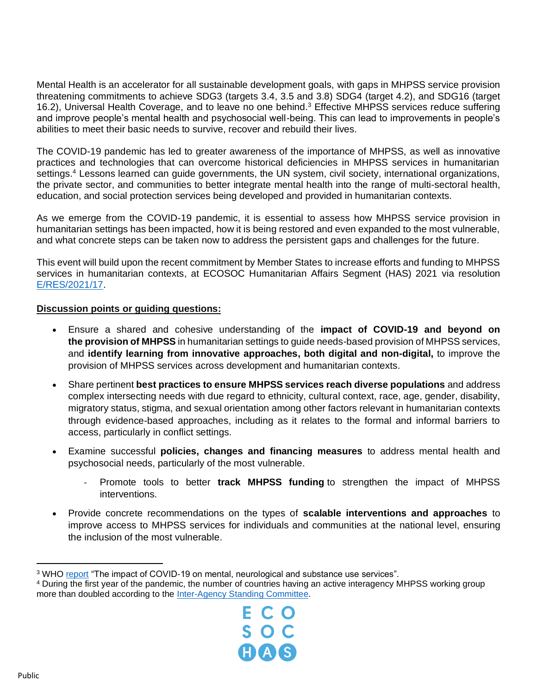Mental Health is an accelerator for all sustainable development goals, with gaps in MHPSS service provision threatening commitments to achieve SDG3 (targets 3.4, 3.5 and 3.8) SDG4 (target 4.2), and SDG16 (target 16.2), Universal Health Coverage, and to leave no one behind.<sup>3</sup> Effective MHPSS services reduce suffering and improve people's mental health and psychosocial well-being. This can lead to improvements in people's abilities to meet their basic needs to survive, recover and rebuild their lives.

The COVID-19 pandemic has led to greater awareness of the importance of MHPSS, as well as innovative practices and technologies that can overcome historical deficiencies in MHPSS services in humanitarian settings.<sup>4</sup> Lessons learned can guide governments, the UN system, civil society, international organizations, the private sector, and communities to better integrate mental health into the range of multi-sectoral health, education, and social protection services being developed and provided in humanitarian contexts.

As we emerge from the COVID-19 pandemic, it is essential to assess how MHPSS service provision in humanitarian settings has been impacted, how it is being restored and even expanded to the most vulnerable, and what concrete steps can be taken now to address the persistent gaps and challenges for the future.

This event will build upon the recent commitment by Member States to increase efforts and funding to MHPSS services in humanitarian contexts, at ECOSOC Humanitarian Affairs Segment (HAS) 2021 via resolution [E/RES/2021/17.](https://www.un.org/ga/search/view_doc.asp?symbol=E/RES/2021/17)

## **Discussion points or guiding questions:**

- Ensure a shared and cohesive understanding of the **impact of COVID-19 and beyond on the provision of MHPSS** in humanitarian settings to guide needs-based provision of MHPSS services, and **identify learning from innovative approaches, both digital and non-digital,** to improve the provision of MHPSS services across development and humanitarian contexts.
- Share pertinent **best practices to ensure MHPSS services reach diverse populations** and address complex intersecting needs with due regard to ethnicity, cultural context, race, age, gender, disability, migratory status, stigma, and sexual orientation among other factors relevant in humanitarian contexts through evidence-based approaches, including as it relates to the formal and informal barriers to access, particularly in conflict settings.
- Examine successful **policies, changes and financing measures** to address mental health and psychosocial needs, particularly of the most vulnerable.
	- Promote tools to better **track MHPSS funding** to strengthen the impact of MHPSS interventions.
- Provide concrete recommendations on the types of **scalable interventions and approaches** to improve access to MHPSS services for individuals and communities at the national level, ensuring the inclusion of the most vulnerable.

<sup>4</sup> During the first year of the pandemic, the number of countries having an active interagency MHPSS working group more than doubled according to the [Inter-Agency Standing Committee.](https://interagencystandingcommittee.org/system/files/2020-12/MHPSS%20Achievements%202019-2020.pdf)



<sup>3</sup> WHO [report](https://www.who.int/news/item/05-10-2020-covid-19-disrupting-mental-health-services-in-most-countries-who-survey) "The impact of COVID-19 on mental, neurological and substance use services".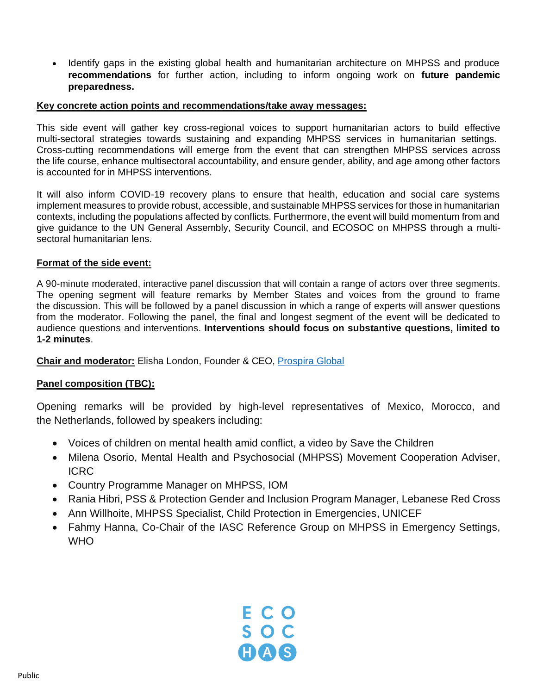• Identify gaps in the existing global health and humanitarian architecture on MHPSS and produce **recommendations** for further action, including to inform ongoing work on **future pandemic preparedness.** 

#### **Key concrete action points and recommendations/take away messages:**

This side event will gather key cross-regional voices to support humanitarian actors to build effective multi-sectoral strategies towards sustaining and expanding MHPSS services in humanitarian settings. Cross-cutting recommendations will emerge from the event that can strengthen MHPSS services across the life course, enhance multisectoral accountability, and ensure gender, ability, and age among other factors is accounted for in MHPSS interventions.

It will also inform COVID-19 recovery plans to ensure that health, education and social care systems implement measures to provide robust, accessible, and sustainable MHPSS services for those in humanitarian contexts, including the populations affected by conflicts. Furthermore, the event will build momentum from and give guidance to the UN General Assembly, Security Council, and ECOSOC on MHPSS through a multisectoral humanitarian lens.

## **Format of the side event:**

A 90-minute moderated, interactive panel discussion that will contain a range of actors over three segments. The opening segment will feature remarks by Member States and voices from the ground to frame the discussion. This will be followed by a panel discussion in which a range of experts will answer questions from the moderator. Following the panel, the final and longest segment of the event will be dedicated to audience questions and interventions. **Interventions should focus on substantive questions, limited to 1-2 minutes**.

**Chair and moderator:** Elisha London, Founder & CEO, [Prospira Global](https://prospira.global/)

## **Panel composition (TBC):**

Opening remarks will be provided by high-level representatives of Mexico, Morocco, and the Netherlands, followed by speakers including:

- Voices of children on mental health amid conflict, a video by Save the Children
- Milena Osorio, Mental Health and Psychosocial (MHPSS) Movement Cooperation Adviser, ICRC
- Country Programme Manager on MHPSS, IOM
- Rania Hibri, PSS & Protection Gender and Inclusion Program Manager, Lebanese Red Cross
- Ann Willhoite, MHPSS Specialist, Child Protection in Emergencies, UNICEF
- Fahmy Hanna, Co-Chair of the IASC Reference Group on MHPSS in Emergency Settings, WHO<sup>1</sup>